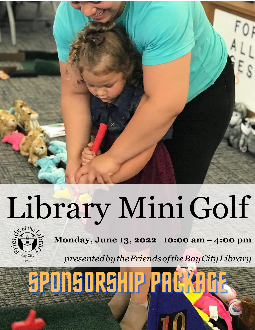

# Library MiniGolf

**SPONSORSHIP PREMA** 



**Monday, June 13, 2022 10:00 am – 4:00 pm**

*presentedbytheFriendsoftheBayCityLibrary*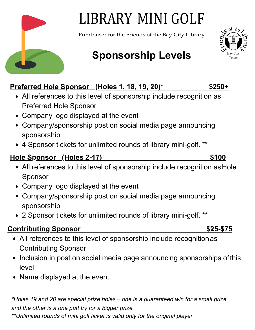# LIBRARY MINI GOLF

Fundraiser for the Friends of the Bay City Library

## **Sponsorship Levels**

#### **Preferred Hole Sponsor (Holes 1, 18, 19, 20)\* \$250+**

- All references to this level of sponsorship include recognition as Preferred Hole Sponsor
- Company logo displayed at the event
- Company/sponsorship post on social media page announcing sponsorship
- 4 Sponsor tickets for unlimited rounds of library mini-golf. \*\*

#### **Hole Sponsor (Holes 2-17) \$100**

- All references to this level of sponsorship include recognition as Hole Sponsor
- Company logo displayed at the event
- Company/sponsorship post on social media page announcing sponsorship
- 2 Sponsor tickets for unlimited rounds of library mini-golf. \*\*

#### **Contributing Sponsor \$25-\$75**

- All references to this level of sponsorship include recognitionas Contributing Sponsor
- Inclusion in post on social media page announcing sponsorships ofthis level
- Name displayed at the event

*\*Holes 19 and 20 are special prize holes – one is a guaranteed win for a small prize and the other is a one putt try for a bigger prize \*\*Unlimited rounds of mini golf ticket is valid only for the original player*